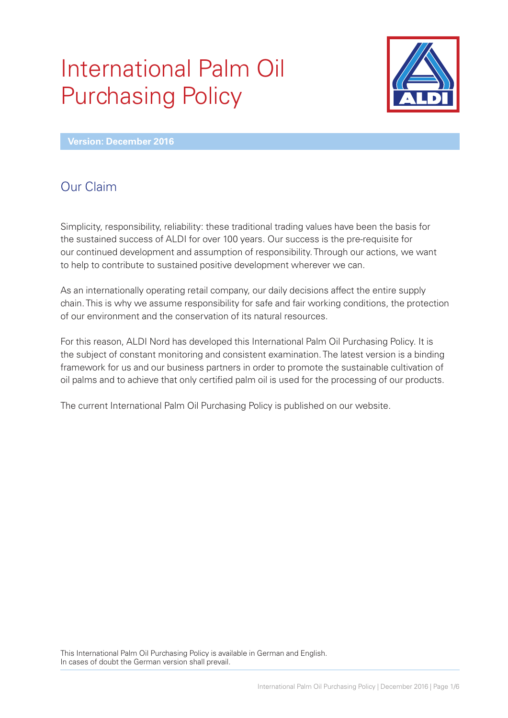# International Palm Oil Purchasing Policy



**Version: December 2016**

# Our Claim

Simplicity, responsibility, reliability: these traditional trading values have been the basis for the sustained success of ALDI for over 100 years. Our success is the pre-requisite for our continued development and assumption of responsibility. Through our actions, we want to help to contribute to sustained positive development wherever we can.

As an internationally operating retail company, our daily decisions affect the entire supply chain. This is why we assume responsibility for safe and fair working conditions, the protection of our environment and the conservation of its natural resources.

For this reason, ALDI Nord has developed this International Palm Oil Purchasing Policy. It is the subject of constant monitoring and consistent examination. The latest version is a binding framework for us and our business partners in order to promote the sustainable cultivation of oil palms and to achieve that only certified palm oil is used for the processing of our products.

The current International Palm Oil Purchasing Policy is published on our website.

This International Palm Oil Purchasing Policy is available in German and English. In cases of doubt the German version shall prevail.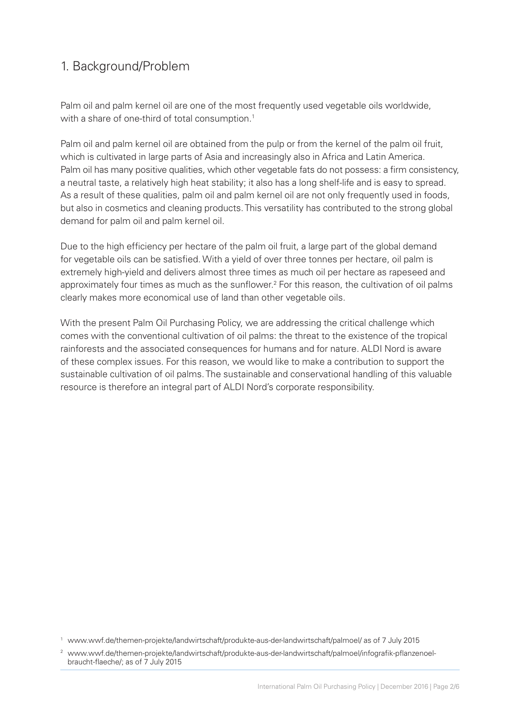## 1. Background/Problem

Palm oil and palm kernel oil are one of the most frequently used vegetable oils worldwide, with a share of one-third of total consumption.<sup>1</sup>

Palm oil and palm kernel oil are obtained from the pulp or from the kernel of the palm oil fruit, which is cultivated in large parts of Asia and increasingly also in Africa and Latin America. Palm oil has many positive qualities, which other vegetable fats do not possess: a firm consistency, a neutral taste, a relatively high heat stability; it also has a long shelf-life and is easy to spread. As a result of these qualities, palm oil and palm kernel oil are not only frequently used in foods, but also in cosmetics and cleaning products. This versatility has contributed to the strong global demand for palm oil and palm kernel oil.

Due to the high efficiency per hectare of the palm oil fruit, a large part of the global demand for vegetable oils can be satisfied. With a yield of over three tonnes per hectare, oil palm is extremely high-yield and delivers almost three times as much oil per hectare as rapeseed and approximately four times as much as the sunflower.<sup>2</sup> For this reason, the cultivation of oil palms clearly makes more economical use of land than other vegetable oils.

With the present Palm Oil Purchasing Policy, we are addressing the critical challenge which comes with the conventional cultivation of oil palms: the threat to the existence of the tropical rainforests and the associated consequences for humans and for nature. ALDI Nord is aware of these complex issues. For this reason, we would like to make a contribution to support the sustainable cultivation of oil palms. The sustainable and conservational handling of this valuable resource is therefore an integral part of ALDI Nord's corporate responsibility.

<sup>1</sup> www.wwf.de/themen-projekte/landwirtschaft/produkte-aus-der-landwirtschaft/palmoel/ as of 7 July 2015

<sup>2</sup> www.wwf.de/themen-projekte/landwirtschaft/produkte-aus-der-landwirtschaft/palmoel/infografik-pflanzenoelbraucht-flaeche/; as of 7 July 2015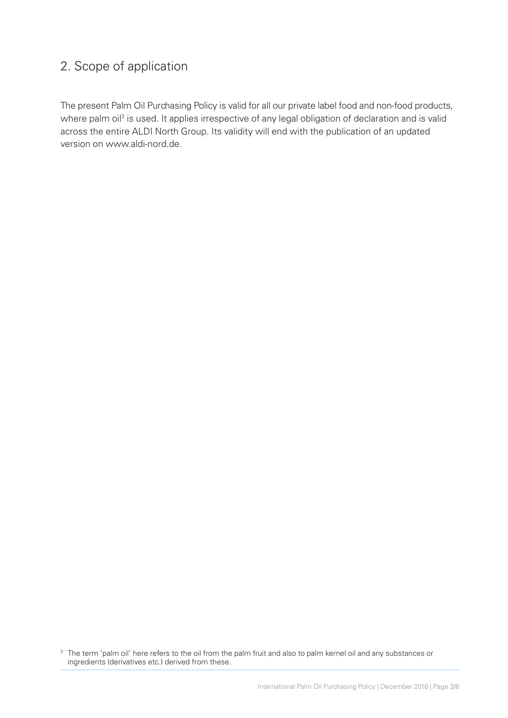## 2. Scope of application

The present Palm Oil Purchasing Policy is valid for all our private label food and non-food products, where palm oil<sup>3</sup> is used. It applies irrespective of any legal obligation of declaration and is valid across the entire ALDI North Group. Its validity will end with the publication of an updated version on www.aldi-nord.de.

3 The term 'palm oil' here refers to the oil from the palm fruit and also to palm kernel oil and any substances or ingredients (derivatives etc.) derived from these.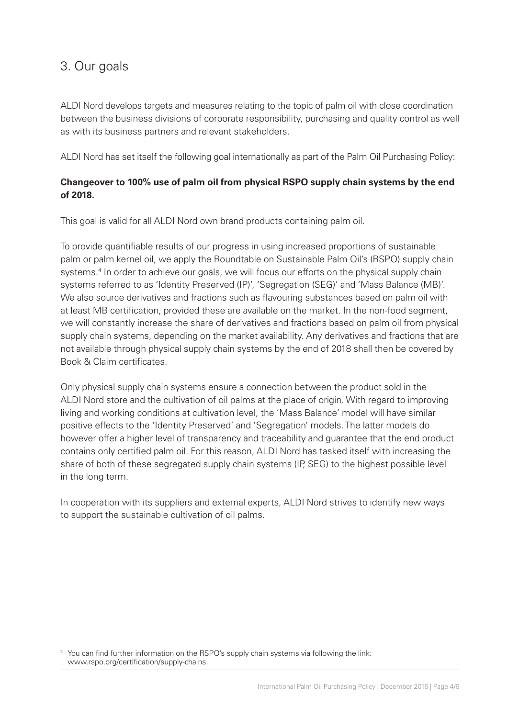#### 3. Our goals

ALDI Nord develops targets and measures relating to the topic of palm oil with close coordination between the business divisions of corporate responsibility, purchasing and quality control as well as with its business partners and relevant stakeholders.

ALDI Nord has set itself the following goal internationally as part of the Palm Oil Purchasing Policy:

#### **Changeover to 100% use of palm oil from physical RSPO supply chain systems by the end of 2018.**

This goal is valid for all ALDI Nord own brand products containing palm oil.

To provide quantifiable results of our progress in using increased proportions of sustainable palm or palm kernel oil, we apply the Roundtable on Sustainable Palm Oil's (RSPO) supply chain systems.<sup>4</sup> In order to achieve our goals, we will focus our efforts on the physical supply chain systems referred to as 'Identity Preserved (IP)', 'Segregation (SEG)' and 'Mass Balance (MB)'. We also source derivatives and fractions such as flavouring substances based on palm oil with at least MB certification, provided these are available on the market. In the non-food segment, we will constantly increase the share of derivatives and fractions based on palm oil from physical supply chain systems, depending on the market availability. Any derivatives and fractions that are not available through physical supply chain systems by the end of 2018 shall then be covered by Book & Claim certificates.

Only physical supply chain systems ensure a connection between the product sold in the ALDI Nord store and the cultivation of oil palms at the place of origin. With regard to improving living and working conditions at cultivation level, the 'Mass Balance' model will have similar positive effects to the 'Identity Preserved' and 'Segregation' models. The latter models do however offer a higher level of transparency and traceability and guarantee that the end product contains only certified palm oil. For this reason, ALDI Nord has tasked itself with increasing the share of both of these segregated supply chain systems (IP, SEG) to the highest possible level in the long term.

In cooperation with its suppliers and external experts, ALDI Nord strives to identify new ways to support the sustainable cultivation of oil palms.

4 You can find further information on the RSPO's supply chain systems via following the link: www.rspo.org/certification/supply-chains.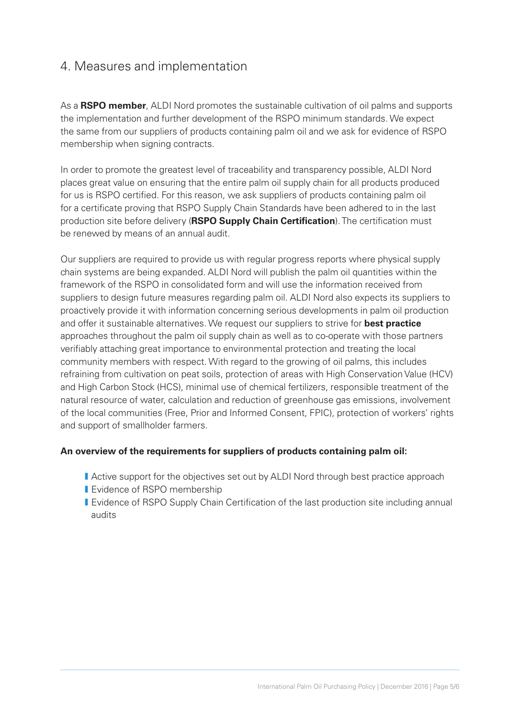#### 4. Measures and implementation

As a **RSPO member**, ALDI Nord promotes the sustainable cultivation of oil palms and supports the implementation and further development of the RSPO minimum standards. We expect the same from our suppliers of products containing palm oil and we ask for evidence of RSPO membership when signing contracts.

In order to promote the greatest level of traceability and transparency possible, ALDI Nord places great value on ensuring that the entire palm oil supply chain for all products produced for us is RSPO certified. For this reason, we ask suppliers of products containing palm oil for a certificate proving that RSPO Supply Chain Standards have been adhered to in the last production site before delivery (**RSPO Supply Chain Certification**). The certification must be renewed by means of an annual audit.

Our suppliers are required to provide us with regular progress reports where physical supply chain systems are being expanded. ALDI Nord will publish the palm oil quantities within the framework of the RSPO in consolidated form and will use the information received from suppliers to design future measures regarding palm oil. ALDI Nord also expects its suppliers to proactively provide it with information concerning serious developments in palm oil production and offer it sustainable alternatives. We request our suppliers to strive for **best practice** approaches throughout the palm oil supply chain as well as to co-operate with those partners verifiably attaching great importance to environmental protection and treating the local community members with respect. With regard to the growing of oil palms, this includes refraining from cultivation on peat soils, protection of areas with High Conservation Value (HCV) and High Carbon Stock (HCS), minimal use of chemical fertilizers, responsible treatment of the natural resource of water, calculation and reduction of greenhouse gas emissions, involvement of the local communities (Free, Prior and Informed Consent, FPIC), protection of workers' rights and support of smallholder farmers.

#### **An overview of the requirements for suppliers of products containing palm oil:**

- **I** Active support for the objectives set out by ALDI Nord through best practice approach
- **I** Evidence of RSPO membership
- I Evidence of RSPO Supply Chain Certification of the last production site including annual audits